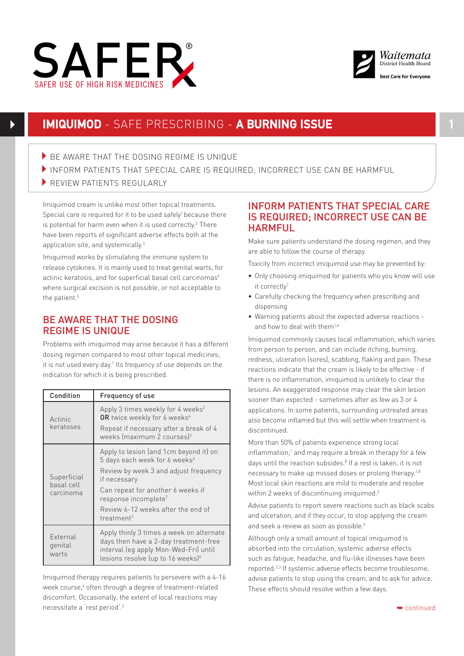



# **IMIQUIMOD** - SAFE PRESCRIBING - **A BURNING ISSUE 1**

- $\blacktriangleright$  BE AWARE THAT THE DOSING REGIME IS UNIQUE
- INFORM PATIENTS THAT SPECIAL CARE IS REQUIRED: INCORRECT USE CAN BE HARMFUL
- REVIEW PATIENTS REGULARLY

is potential for harm even when it is used correctly. $^2$  There Imiquimod cream is unlike most other topical treatments. Special care is required for it to be used safely<sup>1</sup> because there have been reports of significant adverse effects both at the application site, and systemically.<sup>3</sup>

Imiquimod works by stimulating the immune system to release cytokines. It is mainly used to treat genital warts, for actinic keratosis, and for superficial basal cell carcinomas<sup>4</sup> where surgical excision is not possible, or not acceptable to the patient.<sup>5</sup>

# BE AWARE THAT THE DOSING REGIME IS UNIQUE

Problems with imiquimod may arise because it has a different dosing regimen compared to most other topical medicines; it is not used every day.<sup>1</sup> Its frequency of use depends on the indication for which it is being prescribed.

| Condition                              | Frequency of use                                                                                                                                                                                                                                                                      |
|----------------------------------------|---------------------------------------------------------------------------------------------------------------------------------------------------------------------------------------------------------------------------------------------------------------------------------------|
| Actinic<br>keratoses                   | Apply 3 times weekly for 4 weeks <sup>2</sup><br>OR twice weekly for 6 weeks <sup>4</sup><br>Repeat if necessary after a break of 4<br>weeks (maximum 2 courses) <sup>2</sup>                                                                                                         |
| Superficial<br>basal cell<br>carcinoma | Apply to lesion (and 1cm beyond it) on<br>5 days each week for 6 weeks <sup>6</sup><br>Review by week 3 and adjust frequency<br>if necessary<br>Can repeat for another 6 weeks if<br>response incomplete <sup>7</sup><br>Review 6-12 weeks after the end of<br>treatment <sup>7</sup> |
| External<br>genital<br>warts           | Apply thinly 3 times a week on alternate<br>days then have a 2-day treatment-free<br>interval (eq apply Mon-Wed-Fri) until<br>lesions resolve (up to 16 weeks) <sup>6</sup>                                                                                                           |

Imiquimod therapy requires patients to persevere with a 4-16 week course,<sup>4</sup> often through a degree of treatment-related discomfort. Occasionally, the extent of local reactions may necessitate a 'rest period'.2

## INFORM PATIENTS THAT SPECIAL CARE IS REQUIRED; INCORRECT USE CAN BE HARMFUL

Make sure patients understand the dosing regimen, and they are able to follow the course of therapy.

Toxicity from incorrect imiquimod use may be prevented by:

- Only choosing imiquimod for patients who you know will use it correctly<sup>1</sup>
- • Carefully checking the frequency when prescribing and dispensing
- • Warning patients about the expected adverse reactions and how to deal with them<sup>1,4</sup>

Imiquimod commonly causes local inflammation, which varies from person to person, and can include itching, burning, redness, ulceration (sores), scabbing, flaking and pain. These reactions indicate that the cream is likely to be effective - if there is no inflammation, imiquimod is unlikely to clear the lesions. An exaggerated response may clear the skin lesion sooner than expected - sometimes after as few as 3 or 4 applications. In some patients, surrounding untreated areas also become inflamed but this will settle when treatment is discontinued.

More than 50% of patients experience strong local inflammation,<sup>1</sup> and may require a break in therapy for a few days until the reaction subsides.<sup>8</sup> If a rest is taken, it is not necessary to make up missed doses or prolong therapy.1,8 Most local skin reactions are mild to moderate and resolve within 2 weeks of discontinuing imiguimod.<sup>2</sup>

Advise patients to report severe reactions such as black scabs and ulceration, and if they occur, to stop applying the cream and seek a review as soon as possible.<sup>4</sup>

Although only a small amount of topical imiquimod is absorbed into the circulation, systemic adverse effects such as fatigue, headache, and flu-like illnesses have been reported.2,3 If systemic adverse effects become troublesome, advise patients to stop using the cream, and to ask for advice. These effects should resolve within a few days.

➥ continued